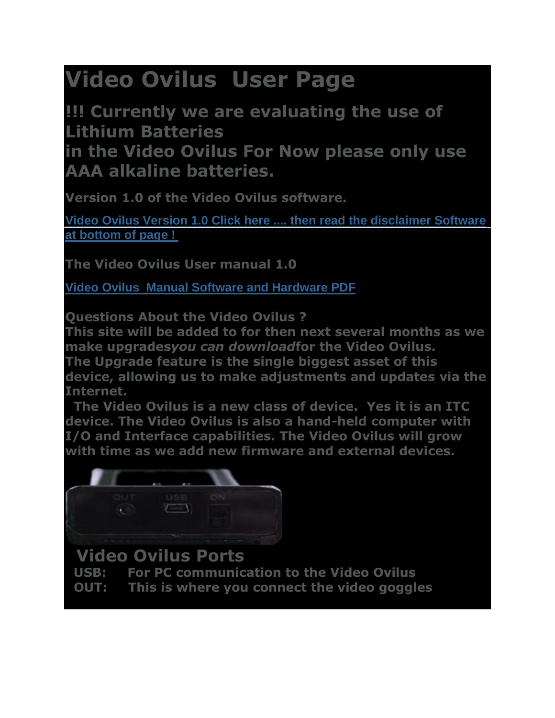# **Video Ovilus User Page**

**!!! Currently we are evaluating the use of Lithium Batteries**

**in the Video Ovilus For Now please only use AAA alkaline batteries.**

**Version 1.0 of the Video Ovilus software.**

**Video Ovilus [Version 1.0 Click here .... then read the disclaimer Software](http://digitaldowsing.com/software-3/)  [at bottom of page !](http://digitaldowsing.com/software-3/)**

**The Video Ovilus User manual 1.0**

**Video Ovilus [Manual Software and Hardware](http://www.chapp.com/ovx/VXM.pdf) PDF**

**Questions About the Video Ovilus ?**

**This site will be added to for then next several months as we make upgrades***you can download***for the Video Ovilus. The Upgrade feature is the single biggest asset of this** 

**device, allowing us to make adjustments and updates via the Internet.**

**The Video Ovilus is a new class of device. Yes it is an ITC device. The Video Ovilus is also a hand-held computer with I/O and Interface capabilities. The Video Ovilus will grow with time as we add new firmware and external devices.**



# **Video Ovilus Ports**

- **USB: For PC communication to the Video Ovilus**
- **OUT: This is where you connect the video goggles**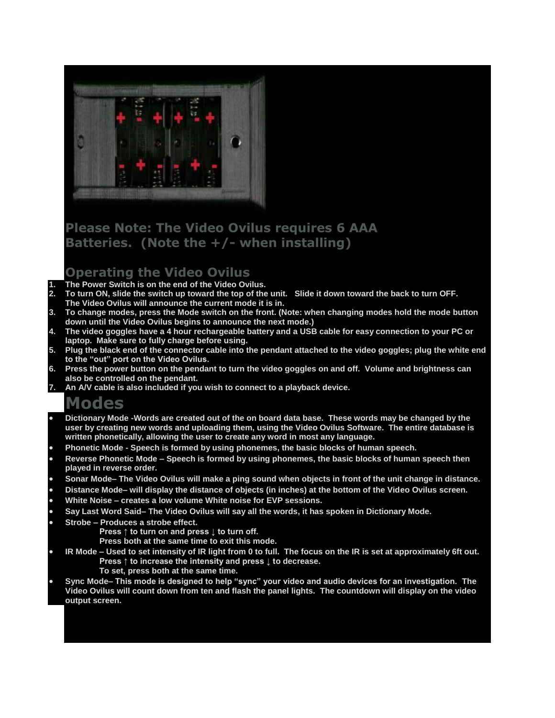

# **Please Note: The Video Ovilus requires 6 AAA Batteries. (Note the +/- when installing)**

#### **Operating the Video Ovilus**

- **1. The Power Switch is on the end of the Video Ovilus.**
- **2. To turn ON, slide the switch up toward the top of the unit. Slide it down toward the back to turn OFF. The Video Ovilus will announce the current mode it is in.**
- **3. To change modes, press the Mode switch on the front. (Note: when changing modes hold the mode button down until the Video Ovilus begins to announce the next mode.)**
- **4. The video goggles have a 4 hour rechargeable battery and a USB cable for easy connection to your PC or laptop. Make sure to fully charge before using.**
- **5. Plug the black end of the connector cable into the pendant attached to the video goggles; plug the white end to the "out" port on the Video Ovilus.**
- **6. Press the power button on the pendant to turn the video goggles on and off. Volume and brightness can also be controlled on the pendant.**
- **7. An A/V cable is also included if you wish to connect to a playback device.**

# **Modes**

- **Dictionary Mode -Words are created out of the on board data base. These words may be changed by the user by creating new words and uploading them, using the Video Ovilus Software. The entire database is written phonetically, allowing the user to create any word in most any language.**
- **Phonetic Mode - Speech is formed by using phonemes, the basic blocks of human speech.**
- **Reverse Phonetic Mode – Speech is formed by using phonemes, the basic blocks of human speech then played in reverse order.**
- **Sonar Mode– The Video Ovilus will make a ping sound when objects in front of the unit change in distance.**
- **Distance Mode– will display the distance of objects (in inches) at the bottom of the Video Ovilus screen.**
- **White Noise – creates a low volume White noise for EVP sessions.**
- **Say Last Word Said– The Video Ovilus will say all the words, it has spoken in Dictionary Mode.**
- **Strobe – Produces a strobe effect.**
	- **Press ↑ to turn on and press ↓ to turn off.**
	- **Press both at the same time to exit this mode.**
- **IR Mode – Used to set intensity of IR light from 0 to full. The focus on the IR is set at approximately 6ft out. Press ↑ to increase the intensity and press ↓ to decrease.**
	- **To set, press both at the same time.**
- **Sync Mode– This mode is designed to help "sync" your video and audio devices for an investigation. The Video Ovilus will count down from ten and flash the panel lights. The countdown will display on the video output screen.**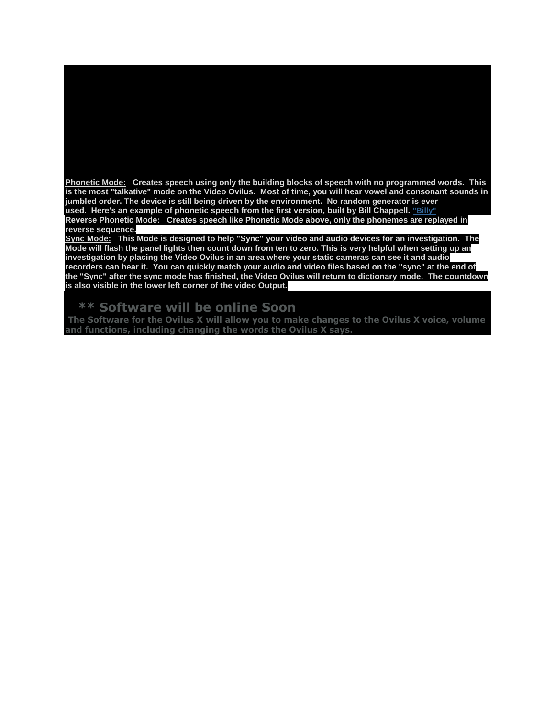**Phonetic Mode: Creates speech using only the building blocks of speech with no programmed words. This is the most "talkative" mode on the Video Ovilus. Most of time, you will hear vowel and consonant sounds in jumbled order. The device is still being driven by the environment. No random generator is ever used. Here's an example of phonetic speech from the first version, built by Bill Chappell. ["Billy"](http://digitaldowsing.com/assets/billy.wav) Reverse Phonetic Mode: Creates speech like Phonetic Mode above, only the phonemes are replayed in reverse sequence.**

**While in this mode you may hear a small popping sound, this is the internal amplifier being** 

**calculates a value. That value is used to look up a pre-programmed word. If the "value" is** 

**Sync Mode: This Mode is designed to help "Sync" your video and audio devices for an investigation. The Mode will flash the panel lights then count down from ten to zero. This is very helpful when setting up an investigation by placing the Video Ovilus in an area where your static cameras can see it and audio recorders can hear it. You can quickly match your audio and video files based on the "sync" at the end of the "Sync" after the sync mode has finished, the Video Ovilus will return to dictionary mode. The countdown is also visible in the lower left corner of the video Output.**

#### **\*\* Software will be online Soon**

**The Software for the Ovilus X will allow you to make changes to the Ovilus X voice, volume and functions, including changing the words the Ovilus X says.**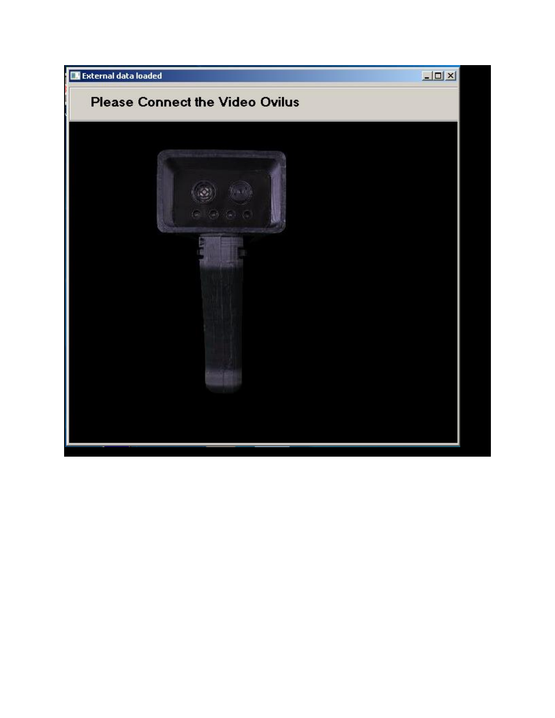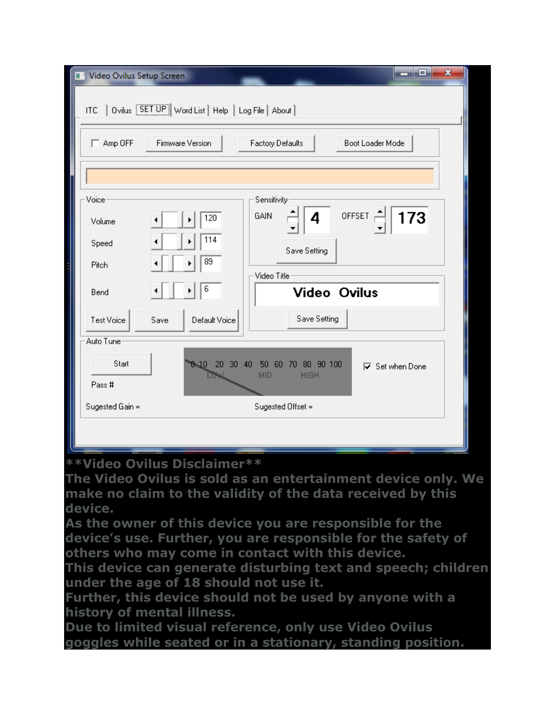| Video Ovilus Setup Screen<br>π                           |                                |                                                             | x<br>وي ک              |
|----------------------------------------------------------|--------------------------------|-------------------------------------------------------------|------------------------|
| ITC   Ovilus [SETUP] Word List   Help   Log File   About |                                |                                                             |                        |
| $\Box$ Amp OFF                                           | Firmware Version               | Factory Defaults                                            | Boot Loader Mode       |
|                                                          |                                |                                                             |                        |
| Voice                                                    |                                | Sensitivity                                                 |                        |
| Volume                                                   | 120                            | GAIN<br>4                                                   | OFFSET<br>173          |
| Speed                                                    | 114                            | Save Setting                                                |                        |
| Pitch                                                    | 89                             |                                                             |                        |
| Bend                                                     | 6                              | Video Title<br><b>Video Ovilus</b>                          |                        |
| Test Voice                                               | Save<br>Default Voice          | Save Setting                                                |                        |
| Auto Tune                                                |                                |                                                             |                        |
| Start                                                    | $30 - 40$<br><b>B-10</b><br>20 | 90 100<br>50<br>80<br>60<br>70<br><b>MID</b><br><b>HIGH</b> | <b>▽</b> Set when Done |
| Pass #                                                   |                                |                                                             |                        |
| Sugested Gain =                                          | Sugested Offset =              |                                                             |                        |
|                                                          |                                |                                                             |                        |

### **\*\*Video Ovilus Disclaimer\*\***

**The Video Ovilus is sold as an entertainment device only. We make no claim to the validity of the data received by this device.**

**As the owner of this device you are responsible for the device's use. Further, you are responsible for the safety of others who may come in contact with this device.**

**This device can generate disturbing text and speech; children under the age of 18 should not use it.**

**Further, this device should not be used by anyone with a history of mental illness.**

**Due to limited visual reference, only use Video Ovilus goggles while seated or in a stationary, standing position.**